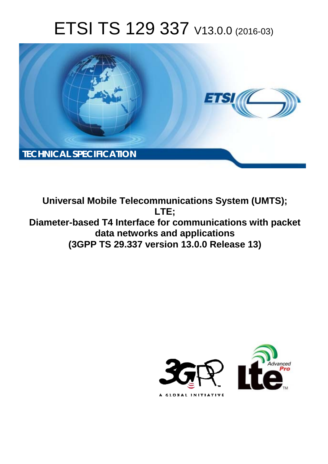# ETSI TS 129 337 V13.0.0 (2016-03)



**Universal Mobile Tel elecommunications System ( (UMTS); Diameter-based T4 Interface for communications with packet data netw etworks and applications (3GPP TS 29.3 .337 version 13.0.0 Release 13 13) LTE;** 

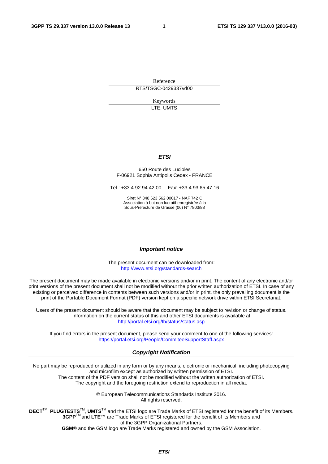Reference RTS/TSGC-0429337vd00

> Keywords LTE, UMTS

#### *ETSI*

#### 650 Route des Lucioles F-06921 Sophia Antipolis Cedex - FRANCE

Tel.: +33 4 92 94 42 00 Fax: +33 4 93 65 47 16

Siret N° 348 623 562 00017 - NAF 742 C Association à but non lucratif enregistrée à la Sous-Préfecture de Grasse (06) N° 7803/88

#### *Important notice*

The present document can be downloaded from: <http://www.etsi.org/standards-search>

The present document may be made available in electronic versions and/or in print. The content of any electronic and/or print versions of the present document shall not be modified without the prior written authorization of ETSI. In case of any existing or perceived difference in contents between such versions and/or in print, the only prevailing document is the print of the Portable Document Format (PDF) version kept on a specific network drive within ETSI Secretariat.

Users of the present document should be aware that the document may be subject to revision or change of status. Information on the current status of this and other ETSI documents is available at <http://portal.etsi.org/tb/status/status.asp>

If you find errors in the present document, please send your comment to one of the following services: <https://portal.etsi.org/People/CommiteeSupportStaff.aspx>

#### *Copyright Notification*

No part may be reproduced or utilized in any form or by any means, electronic or mechanical, including photocopying and microfilm except as authorized by written permission of ETSI.

The content of the PDF version shall not be modified without the written authorization of ETSI. The copyright and the foregoing restriction extend to reproduction in all media.

> © European Telecommunications Standards Institute 2016. All rights reserved.

**DECT**TM, **PLUGTESTS**TM, **UMTS**TM and the ETSI logo are Trade Marks of ETSI registered for the benefit of its Members. **3GPP**TM and **LTE**™ are Trade Marks of ETSI registered for the benefit of its Members and of the 3GPP Organizational Partners.

**GSM**® and the GSM logo are Trade Marks registered and owned by the GSM Association.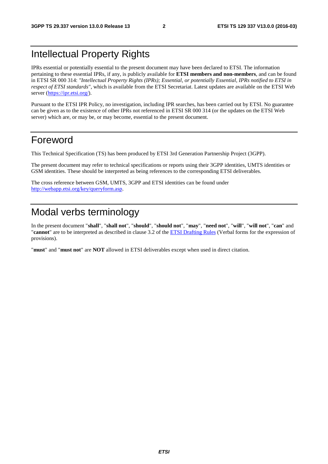## Intellectual Property Rights

IPRs essential or potentially essential to the present document may have been declared to ETSI. The information pertaining to these essential IPRs, if any, is publicly available for **ETSI members and non-members**, and can be found in ETSI SR 000 314: *"Intellectual Property Rights (IPRs); Essential, or potentially Essential, IPRs notified to ETSI in respect of ETSI standards"*, which is available from the ETSI Secretariat. Latest updates are available on the ETSI Web server ([https://ipr.etsi.org/\)](https://ipr.etsi.org/).

Pursuant to the ETSI IPR Policy, no investigation, including IPR searches, has been carried out by ETSI. No guarantee can be given as to the existence of other IPRs not referenced in ETSI SR 000 314 (or the updates on the ETSI Web server) which are, or may be, or may become, essential to the present document.

## Foreword

This Technical Specification (TS) has been produced by ETSI 3rd Generation Partnership Project (3GPP).

The present document may refer to technical specifications or reports using their 3GPP identities, UMTS identities or GSM identities. These should be interpreted as being references to the corresponding ETSI deliverables.

The cross reference between GSM, UMTS, 3GPP and ETSI identities can be found under [http://webapp.etsi.org/key/queryform.asp.](http://webapp.etsi.org/key/queryform.asp)

## Modal verbs terminology

In the present document "**shall**", "**shall not**", "**should**", "**should not**", "**may**", "**need not**", "**will**", "**will not**", "**can**" and "**cannot**" are to be interpreted as described in clause 3.2 of the [ETSI Drafting Rules](http://portal.etsi.org/Help/editHelp!/Howtostart/ETSIDraftingRules.aspx) (Verbal forms for the expression of provisions).

"**must**" and "**must not**" are **NOT** allowed in ETSI deliverables except when used in direct citation.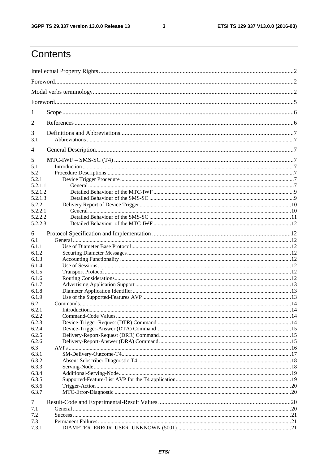$\mathbf{3}$ 

## Contents

| 1       |  |
|---------|--|
| 2       |  |
| 3       |  |
| 3.1     |  |
| 4       |  |
| 5       |  |
| 5.1     |  |
| 5.2     |  |
| 5.2.1   |  |
| 5.2.1.1 |  |
| 5.2.1.2 |  |
| 5.2.1.3 |  |
| 5.2.2   |  |
| 5.2.2.1 |  |
| 5.2.2.2 |  |
| 5.2.2.3 |  |
| 6       |  |
| 6.1     |  |
| 6.1.1   |  |
| 6.1.2   |  |
| 6.1.3   |  |
| 6.1.4   |  |
| 6.1.5   |  |
| 6.1.6   |  |
| 6.1.7   |  |
| 6.1.8   |  |
| 6.1.9   |  |
| 6.2     |  |
| 6.2.1   |  |
| 6.2.2   |  |
| 6.2.3   |  |
| 6.2.4   |  |
| 6.2.5   |  |
|         |  |
| 6.2.6   |  |
| 6.3     |  |
| 6.3.1   |  |
| 6.3.2   |  |
| 6.3.3   |  |
| 6.3.4   |  |
| 6.3.5   |  |
| 6.3.6   |  |
| 6.3.7   |  |
| 7       |  |
| 7.1     |  |
| 7.2     |  |
| 7.3     |  |
| 7.3.1   |  |
|         |  |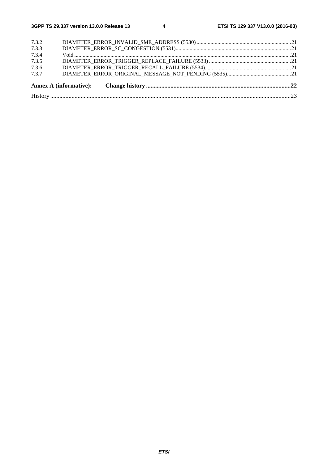| 7.3.7 |  |
|-------|--|
| 7.3.6 |  |
| 7.3.5 |  |
| 7.3.4 |  |
| 7.3.3 |  |
| 7.3.2 |  |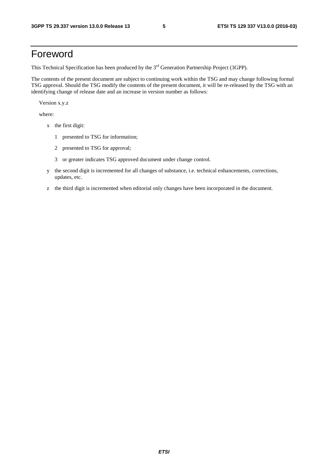## Foreword

This Technical Specification has been produced by the 3<sup>rd</sup> Generation Partnership Project (3GPP).

The contents of the present document are subject to continuing work within the TSG and may change following formal TSG approval. Should the TSG modify the contents of the present document, it will be re-released by the TSG with an identifying change of release date and an increase in version number as follows:

Version x.y.z

where:

- x the first digit:
	- 1 presented to TSG for information;
	- 2 presented to TSG for approval;
	- 3 or greater indicates TSG approved document under change control.
- y the second digit is incremented for all changes of substance, i.e. technical enhancements, corrections, updates, etc.
- z the third digit is incremented when editorial only changes have been incorporated in the document.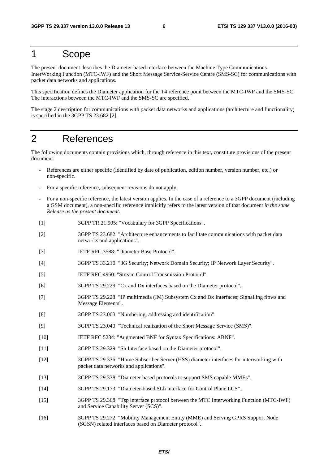### 1 Scope

The present document describes the Diameter based interface between the Machine Type Communications-InterWorking Function (MTC-IWF) and the Short Message Service-Service Centre (SMS-SC) for communications with packet data networks and applications.

This specification defines the Diameter application for the T4 reference point between the MTC-IWF and the SMS-SC. The interactions between the MTC-IWF and the SMS-SC are specified.

The stage 2 description for communications with packet data networks and applications (architecture and functionality) is specified in the 3GPP TS 23.682 [2].

### 2 References

The following documents contain provisions which, through reference in this text, constitute provisions of the present document.

- References are either specific (identified by date of publication, edition number, version number, etc.) or non-specific.
- For a specific reference, subsequent revisions do not apply.
- For a non-specific reference, the latest version applies. In the case of a reference to a 3GPP document (including a GSM document), a non-specific reference implicitly refers to the latest version of that document *in the same Release as the present document*.
- [1] 3GPP TR 21.905: "Vocabulary for 3GPP Specifications".
- [2] 3GPP TS 23.682: "Architecture enhancements to facilitate communications with packet data networks and applications".
- [3] IETF RFC 3588: "Diameter Base Protocol".
- [4] 3GPP TS 33.210: "3G Security; Network Domain Security; IP Network Layer Security".
- [5] IETF RFC 4960: "Stream Control Transmission Protocol".
- [6] 3GPP TS 29.229: "Cx and Dx interfaces based on the Diameter protocol".
- [7] 3GPP TS 29.228: "IP multimedia (IM) Subsystem Cx and Dx Interfaces; Signalling flows and Message Elements".
- [8] 3GPP TS 23.003: "Numbering, addressing and identification".
- [9] 3GPP TS 23.040: "Technical realization of the Short Message Service (SMS)".
- [10] IETF RFC 5234: "Augmented BNF for Syntax Specifications: ABNF".
- [11] 3GPP TS 29.329: "Sh Interface based on the Diameter protocol".
- [12] 3GPP TS 29.336: "Home Subscriber Server (HSS) diameter interfaces for interworking with packet data networks and applications".
- [13] 3GPP TS 29.338: "Diameter based protocols to support SMS capable MMEs".
- [14] 3GPP TS 29.173: "Diameter-based SLh interface for Control Plane LCS".
- [15] 3GPP TS 29.368: "Tsp interface protocol between the MTC Interworking Function (MTC-IWF) and Service Capability Server (SCS)".
- [16] 3GPP TS 29.272: "Mobility Management Entity (MME) and Serving GPRS Support Node (SGSN) related interfaces based on Diameter protocol".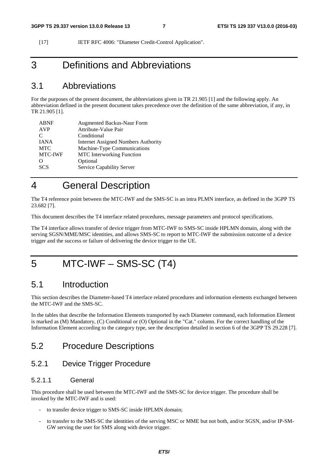[17] IETF RFC 4006: "Diameter Credit-Control Application".

## 3 Definitions and Abbreviations

### 3.1 Abbreviations

For the purposes of the present document, the abbreviations given in TR 21.905 [1] and the following apply. An abbreviation defined in the present document takes precedence over the definition of the same abbreviation, if any, in TR 21.905 [1].

| <b>ABNF</b> | <b>Augmented Backus-Naur Form</b>          |
|-------------|--------------------------------------------|
| <b>AVP</b>  | Attribute-Value Pair                       |
| C           | Conditional                                |
| <b>IANA</b> | <b>Internet Assigned Numbers Authority</b> |
| <b>MTC</b>  | Machine-Type Communications                |
| MTC-IWF     | <b>MTC</b> Interworking Function           |
| ∩           | Optional                                   |
| <b>SCS</b>  | Service Capability Server                  |
|             |                                            |

## 4 General Description

The T4 reference point between the MTC-IWF and the SMS-SC is an intra PLMN interface, as defined in the 3GPP TS 23.682 [7].

This document describes the T4 interface related procedures, message parameters and protocol specifications.

The T4 interface allows transfer of device trigger from MTC-IWF to SMS-SC inside HPLMN domain, along with the serving SGSN/MME/MSC identities, and allows SMS-SC to report to MTC-IWF the submission outcome of a device trigger and the success or failure of delivering the device trigger to the UE.

## 5 MTC-IWF – SMS-SC (T4)

### 5.1 Introduction

This section describes the Diameter-based T4 interface related procedures and information elements exchanged between the MTC-IWF and the SMS-SC.

In the tables that describe the Information Elements transported by each Diameter command, each Information Element is marked as (M) Mandatory, (C) Conditional or (O) Optional in the "Cat." column. For the correct handling of the Information Element according to the category type, see the description detailed in section 6 of the 3GPP TS 29.228 [7].

### 5.2 Procedure Descriptions

#### 5.2.1 Device Trigger Procedure

#### 5.2.1.1 General

This procedure shall be used between the MTC-IWF and the SMS-SC for device trigger. The procedure shall be invoked by the MTC-IWF and is used:

- to transfer device trigger to SMS-SC inside HPLMN domain;
- to transfer to the SMS-SC the identities of the serving MSC or MME but not both, and/or SGSN, and/or IP-SM-GW serving the user for SMS along with device trigger.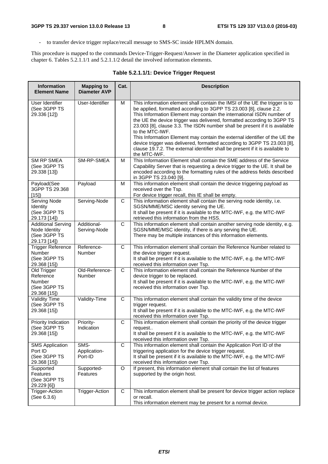- to transfer device trigger replace/recall message to SMS-SC inside HPLMN domain.

This procedure is mapped to the commands Device-Trigger-Request/Answer in the Diameter application specified in chapter 6. Tables 5.2.1.1/1 and 5.2.1.1/2 detail the involved information elements.

|  |  |  |  |  | Table 5.2.1.1/1: Device Trigger Request |
|--|--|--|--|--|-----------------------------------------|
|--|--|--|--|--|-----------------------------------------|

| Information<br><b>Element Name</b>                                         | <b>Mapping to</b><br><b>Diameter AVP</b> | Cat.         | <b>Description</b>                                                                                                                                                                                                                                                                                                                                                                                                                                                                                                                                                                                                                                                 |
|----------------------------------------------------------------------------|------------------------------------------|--------------|--------------------------------------------------------------------------------------------------------------------------------------------------------------------------------------------------------------------------------------------------------------------------------------------------------------------------------------------------------------------------------------------------------------------------------------------------------------------------------------------------------------------------------------------------------------------------------------------------------------------------------------------------------------------|
| User Identifier<br>(See 3GPP TS<br>29.336 [12])                            | User-Identifier                          | M            | This information element shall contain the IMSI of the UE the trigger is to<br>be applied, formatted according to 3GPP TS 23.003 [8], clause 2.2.<br>This Information Element may contain the international ISDN number of<br>the UE the device trigger was delivered, formatted according to 3GPP TS<br>23.003 [8], clause 3.3. The ISDN number shall be present if it is available<br>to the MTC-IWF.<br>This Information Element may contain the external identifier of the UE the<br>device trigger was delivered, formatted according to 3GPP TS 23.003 [8],<br>clause 19.7.2. The external identifier shall be present if it is available to<br>the MTC-IWF. |
| <b>SM RP SMEA</b><br>(See 3GPP TS<br>29.338 [13])                          | SM-RP-SMEA                               | M            | This Information Element shall contain the SME address of the Service<br>Capability Server that is requesting a device trigger to the UE. It shall be<br>encoded according to the formatting rules of the address fields described<br>in 3GPP TS 23.040 [9].                                                                                                                                                                                                                                                                                                                                                                                                       |
| Payload(See<br>3GPP TS 29.368<br>[15]                                      | Payload                                  | M            | This information element shall contain the device triggering payload as<br>received over the Tsp.<br>For device trigger recall, this IE shall be empty.                                                                                                                                                                                                                                                                                                                                                                                                                                                                                                            |
| Serving Node<br>Identity<br>(See 3GPP TS<br>29.173 [14])                   | Serving-Node                             | C            | This information element shall contain the serving node identity, i.e.<br>SGSN/MME/MSC identity serving the UE.<br>It shall be present if it is available to the MTC-IWF, e.g. the MTC-IWF<br>retrieved this information from the HSS.                                                                                                                                                                                                                                                                                                                                                                                                                             |
| <b>Additional Serving</b><br>Node Identity<br>(See 3GPP TS<br>29.173 [14]) | Additional-<br>Serving-Node              | C            | This information element shall contain another serving node identity, e.g.<br>SGSN/MME/MSC identity, if there is any serving the UE.<br>There may be multiple instances of this information elements.                                                                                                                                                                                                                                                                                                                                                                                                                                                              |
| <b>Trigger Reference</b><br>Number<br>(See 3GPP TS<br>29.368 [15])         | Reference-<br>Number                     | С            | This information element shall contain the Reference Number related to<br>the device trigger request.<br>It shall be present if it is available to the MTC-IWF, e.g. the MTC-IWF<br>received this information over Tsp.                                                                                                                                                                                                                                                                                                                                                                                                                                            |
| Old Trigger<br>Reference<br>Number<br>(See 3GPP TS<br>29.368 [15])         | Old-Reference-<br>Number                 | C            | This information element shall contain the Reference Number of the<br>device trigger to be replaced.<br>It shall be present if it is available to the MTC-IWF, e.g. the MTC-IWF<br>received this information over Tsp.                                                                                                                                                                                                                                                                                                                                                                                                                                             |
| <b>Validity Time</b><br>(See 3GPP TS<br>29.368 [15])                       | Validity-Time                            | $\mathbf C$  | This information element shall contain the validity time of the device<br>trigger request.<br>It shall be present if it is available to the MTC-IWF, e.g. the MTC-IWF<br>received this information over Tsp.                                                                                                                                                                                                                                                                                                                                                                                                                                                       |
| Priority Indication<br>(See 3GPP TS<br>29.368 [15])                        | Priority-<br>Indication                  | $\mathsf{C}$ | This information element shall contain the priority of the device trigger<br>request<br>It shall be present if it is available to the MTC-IWF, e.g. the MTC-IWF<br>received this information over Tsp.                                                                                                                                                                                                                                                                                                                                                                                                                                                             |
| <b>SMS Application</b><br>Port ID<br>(See 3GPP TS<br>29.368 [15])          | SMS-<br>Application-<br>Port-ID          | C            | This information element shall contain the Application Port ID of the<br>triggering application for the device trigger request.<br>It shall be present if it is available to the MTC-IWF, e.g. the MTC-IWF<br>received this information over Tsp.                                                                                                                                                                                                                                                                                                                                                                                                                  |
| Supported<br>Features<br>(See 3GPP TS<br>29.229 [6])                       | Supported-<br>Features                   | O            | If present, this information element shall contain the list of features<br>supported by the origin host.                                                                                                                                                                                                                                                                                                                                                                                                                                                                                                                                                           |
| <b>Trigger-Action</b><br>(See 6.3.6)                                       | <b>Trigger-Action</b>                    | C            | This information element shall be present for device trigger action replace<br>or recall.<br>This information element may be present for a normal device.                                                                                                                                                                                                                                                                                                                                                                                                                                                                                                          |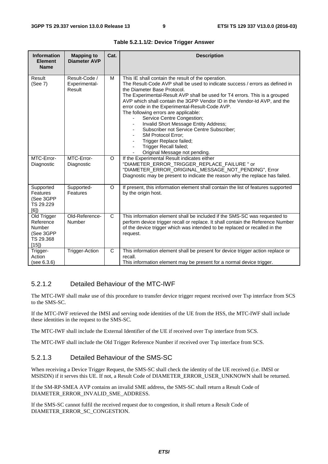| <b>Information</b><br><b>Element</b><br><b>Name</b>                  | <b>Mapping to</b><br><b>Diameter AVP</b> | Cat.         | <b>Description</b>                                                                                                                                                                                                                                                                                                                                                                                                                                                                                                                                                                                                                                                      |
|----------------------------------------------------------------------|------------------------------------------|--------------|-------------------------------------------------------------------------------------------------------------------------------------------------------------------------------------------------------------------------------------------------------------------------------------------------------------------------------------------------------------------------------------------------------------------------------------------------------------------------------------------------------------------------------------------------------------------------------------------------------------------------------------------------------------------------|
| <b>Result</b><br>(See 7)                                             | Result-Code /<br>Experimental-<br>Result | M            | This IE shall contain the result of the operation.<br>The Result-Code AVP shall be used to indicate success / errors as defined in<br>the Diameter Base Protocol.<br>The Experimental-Result AVP shall be used for T4 errors. This is a grouped<br>AVP which shall contain the 3GPP Vendor ID in the Vendor-Id AVP, and the<br>error code in the Experimental-Result-Code AVP.<br>The following errors are applicable:<br>Service Centre Congestion;<br>Invalid Short Message Entity Address;<br>Subscriber not Service Centre Subscriber;<br><b>SM Protocol Error:</b><br>Trigger Replace failed;<br>-<br>Trigger Recall failed;<br>-<br>Original Message not pending. |
| MTC-Error-<br>Diagnostic                                             | MTC-Error-<br>Diagnostic                 | O            | If the Experimental Result indicates either<br>"DIAMETER_ERROR_TRIGGER_REPLACE_FAILURE " or<br>"DIAMETER_ERROR_ORIGINAL_MESSAGE_NOT_PENDING", Error<br>Diagnostic may be present to indicate the reason why the replace has failed.                                                                                                                                                                                                                                                                                                                                                                                                                                     |
| Supported<br>Features<br>(See 3GPP<br>TS 29.229<br>[6]               | Supported-<br>Features                   | O            | If present, this information element shall contain the list of features supported<br>by the origin host.                                                                                                                                                                                                                                                                                                                                                                                                                                                                                                                                                                |
| Old Trigger<br>Reference<br>Number<br>(See 3GPP<br>TS 29.368<br>[15] | Old-Reference-<br>Number                 | $\mathsf{C}$ | This information element shall be included if the SMS-SC was requested to<br>perform device trigger recall or replace. It shall contain the Reference Number<br>of the device trigger which was intended to be replaced or recalled in the<br>request.                                                                                                                                                                                                                                                                                                                                                                                                                  |
| Trigger-<br>Action<br>(see 6.3.6)                                    | <b>Trigger-Action</b>                    | C            | This information element shall be present for device trigger action replace or<br>recall.<br>This information element may be present for a normal device trigger.                                                                                                                                                                                                                                                                                                                                                                                                                                                                                                       |

**Table 5.2.1.1/2: Device Trigger Answer** 

#### 5.2.1.2 Detailed Behaviour of the MTC-IWF

The MTC-IWF shall make use of this procedure to transfer device trigger request received over Tsp interface from SCS to the SMS-SC.

If the MTC-IWF retrieved the IMSI and serving node identities of the UE from the HSS, the MTC-IWF shall include these identities in the request to the SMS-SC.

The MTC-IWF shall include the External Identifier of the UE if received over Tsp interface from SCS.

The MTC-IWF shall include the Old Trigger Reference Number if received over Tsp interface from SCS.

#### 5.2.1.3 Detailed Behaviour of the SMS-SC

When receiving a Device Trigger Request, the SMS-SC shall check the identity of the UE received (i.e. IMSI or MSISDN) if it serves this UE. If not, a Result Code of DIAMETER\_ERROR\_USER\_UNKNOWN shall be returned.

If the SM-RP-SMEA AVP contains an invalid SME address, the SMS-SC shall return a Result Code of DIAMETER\_ERROR\_INVALID\_SME\_ADDRESS.

If the SMS-SC cannot fulfil the received request due to congestion, it shall return a Result Code of DIAMETER\_ERROR\_SC\_CONGESTION.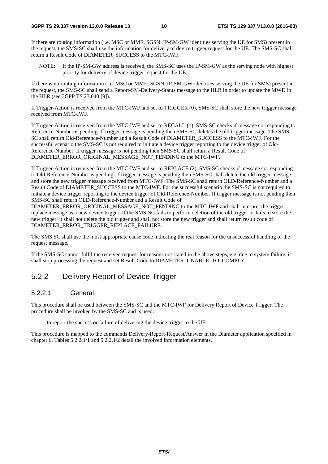If there are routing information (i.e. MSC or MME, SGSN, IP-SM-GW identities serving the UE for SMS) present in the request, the SMS-SC shall use the information for delivery of device trigger request for the UE. The SMS-SC shall return a Result Code of DIAMETER\_SUCCESS to the MTC-IWF.

NOTE: If the IP-SM-GW address is received, the SMS-SC uses the IP-SM-GW as the serving node with highest priority for delivery of device trigger request for the UE.

If there is no routing information (i.e. MSC or MME, SGSN, IP-SM-GW identities serving the UE for SMS) present in the request, the SMS-SC shall send a Report-SM-Delivery-Status message to the HLR in order to update the MWD in the HLR (see 3GPP TS 23.040 [9]).

If Trigger-Action is received from the MTC-IWF and set to TRIGGER (0), SMS-SC shall store the new trigger message received from MTC-IWF.

If Trigger-Action is received from the MTC-IWF and set to RECALL (1), SMS-SC checks if message corresponding to Reference-Number is pending. If trigger message is pending then SMS-SC deletes the old trigger message. The SMS-SC shall return Old-Reference-Number and a Result Code of DIAMETER\_SUCCESS to the MTC-IWF. For the successful scenario the SMS-SC is not required to initiate a device trigger reporting to the device trigger of Old-Reference-Number. If trigger message is not pending then SMS-SC shall return a Result Code of DIAMETER\_ERROR\_ORIGINAL\_MESSAGE\_NOT\_PENDING to the MTC-IWF.

If Trigger-Action is received from the MTC-IWF and set to REPLACE (2), SMS-SC checks if message corresponding to Old-Reference-Number is pending. If trigger message is pending then SMS-SC shall delete the old trigger message and store the new trigger message received from MTC-IWF. The SMS-SC shall return OLD-Reference-Number and a Result Code of DIAMETER\_SUCCESS to the MTC-IWF. For the successful scenario the SMS-SC is not required to initiate a device trigger reporting to the device trigger of Old-Reference-Number. If trigger message is not pending then SMS-SC shall return OLD-Reference-Number and a Result Code of

DIAMETER\_ERROR\_ORIGINAL\_MESSAGE\_NOT\_PENDING to the MTC-IWF and shall interpret the trigger replace message as a new device trigger. If the SMS-SC fails to perform deletion of the old trigger or fails to store the new trigger, it shall not delete the old trigger and shall not store the new trigger and shall return result code of DIAMETER\_ERROR\_TRIGGER\_REPLACE\_FAILURE.

The SMS SC shall use the most appropriate cause code indicating the real reason for the unsuccessful handling of the request message.

If the SMS-SC cannot fulfil the received request for reasons not stated in the above steps, e.g. due to system failure, it shall stop processing the request and set Result-Code to DIAMETER\_UNABLE\_TO\_COMPLY.

#### 5.2.2 Delivery Report of Device Trigger

#### 5.2.2.1 General

This procedure shall be used between the SMS-SC and the MTC-IWF for Delivery Report of Device Trigger. The procedure shall be invoked by the SMS-SC and is used:

- to report the success or failure of delivering the device trigger to the UE.

This procedure is mapped to the commands Delivery-Report-Request/Answer in the Diameter application specified in chapter 6. Tables 5.2.2.1/1 and 5.2.2.1/2 detail the involved information elements.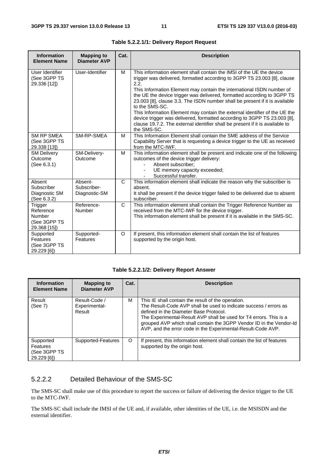| <b>Information</b><br><b>Element Name</b>                      | <b>Mapping to</b><br><b>Diameter AVP</b> | Cat.         | <b>Description</b>                                                                                                                                                                                                                                                                                                                                                                                                                                                                                                                                                                                                                                                      |
|----------------------------------------------------------------|------------------------------------------|--------------|-------------------------------------------------------------------------------------------------------------------------------------------------------------------------------------------------------------------------------------------------------------------------------------------------------------------------------------------------------------------------------------------------------------------------------------------------------------------------------------------------------------------------------------------------------------------------------------------------------------------------------------------------------------------------|
| User Identifier<br>(See 3GPP TS<br>29.336 [12])                | User-Identifier                          | м            | This information element shall contain the IMSI of the UE the device<br>trigger was delivered, formatted according to 3GPP TS 23.003 [8], clause<br>2.2.<br>This Information Element may contain the international ISDN number of<br>the UE the device trigger was delivered, formatted according to 3GPP TS<br>23.003 [8], clause 3.3. The ISDN number shall be present if it is available<br>to the SMS-SC.<br>This Information Element may contain the external identifier of the UE the<br>device trigger was delivered, formatted according to 3GPP TS 23.003 [8],<br>clause 19.7.2. The external identifier shall be present if it is available to<br>the SMS-SC. |
| <b>SM RP SMEA</b><br>(See 3GPP TS<br>29.338 [13])              | SM-RP-SMEA                               | м            | This Information Element shall contain the SME address of the Service<br>Capability Server that is requesting a device trigger to the UE as received<br>from the MTC-IWF.                                                                                                                                                                                                                                                                                                                                                                                                                                                                                               |
| <b>SM Delivery</b><br>Outcome<br>(See 6.3.1)                   | SM-Delivery-<br>Outcome                  | M            | This information element shall be present and indicate one of the following<br>outcomes of the device trigger delivery:<br>Absent subscriber;<br>UE memory capacity exceeded;<br>Successful transfer.                                                                                                                                                                                                                                                                                                                                                                                                                                                                   |
| Absent<br>Subscriber<br>Diagnostic SM<br>(See 6.3.2)           | Absent-<br>Subscriber-<br>Diagnostic-SM  | C            | This information element shall indicate the reason why the subscriber is<br>absent.<br>It shall be present if the device trigger failed to be delivered due to absent<br>subscriber.                                                                                                                                                                                                                                                                                                                                                                                                                                                                                    |
| Trigger<br>Reference<br>Number<br>(See 3GPP TS<br>29.368 [15]) | Reference-<br>Number                     | $\mathsf{C}$ | This information element shall contain the Trigger Reference Number as<br>received from the MTC-IWF for the device trigger.<br>This information element shall be present if it is available in the SMS-SC.                                                                                                                                                                                                                                                                                                                                                                                                                                                              |
| Supported<br>Features<br>(See 3GPP TS<br>29.229 [6])           | Supported-<br>Features                   | O            | If present, this information element shall contain the list of features<br>supported by the origin host.                                                                                                                                                                                                                                                                                                                                                                                                                                                                                                                                                                |

**Table 5.2.2.1/1: Delivery Report Request** 

#### **Table 5.2.2.1/2: Delivery Report Answer**

| <b>Information</b><br><b>Element Name</b>            | <b>Mapping to</b><br><b>Diameter AVP</b> | Cat. | <b>Description</b>                                                                                                                                                                                                                                                                                                                                                             |
|------------------------------------------------------|------------------------------------------|------|--------------------------------------------------------------------------------------------------------------------------------------------------------------------------------------------------------------------------------------------------------------------------------------------------------------------------------------------------------------------------------|
| Result<br>(See 7)                                    | Result-Code /<br>Experimental-<br>Result | м    | This IE shall contain the result of the operation.<br>The Result-Code AVP shall be used to indicate success / errors as<br>defined in the Diameter Base Protocol.<br>The Experimental-Result AVP shall be used for T4 errors. This is a<br>grouped AVP which shall contain the 3GPP Vendor ID in the Vendor-Id<br>AVP, and the error code in the Experimental-Result-Code AVP. |
| Supported<br>Features<br>(See 3GPP TS<br>29.229 [6]) | Supported-Features                       | O    | If present, this information element shall contain the list of features<br>supported by the origin host.                                                                                                                                                                                                                                                                       |

#### 5.2.2.2 Detailed Behaviour of the SMS-SC

The SMS-SC shall make use of this procedure to report the success or failure of delivering the device trigger to the UE to the MTC-IWF.

The SMS-SC shall include the IMSI of the UE and, if available, other identities of the UE, i.e. the MSISDN and the external identifier.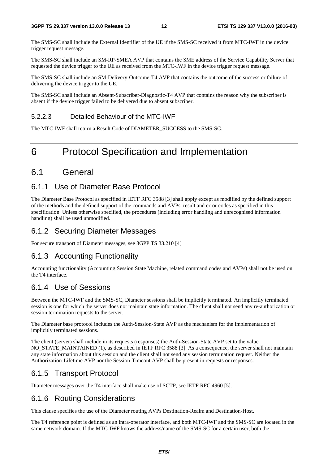#### **3GPP TS 29.337 version 13.0.0 Release 13 12 ETSI TS 129 337 V13.0.0 (2016-03)**

The SMS-SC shall include the External Identifier of the UE if the SMS-SC received it from MTC-IWF in the device trigger request message.

The SMS-SC shall include an SM-RP-SMEA AVP that contains the SME address of the Service Capability Server that requested the device trigger to the UE as received from the MTC-IWF in the device trigger request message.

The SMS-SC shall include an SM-Delivery-Outcome-T4 AVP that contains the outcome of the success or failure of delivering the device trigger to the UE.

The SMS-SC shall include an Absent-Subscriber-Diagnostic-T4 AVP that contains the reason why the subscriber is absent if the device trigger failed to be delivered due to absent subscriber.

#### 5.2.2.3 Detailed Behaviour of the MTC-IWF

The MTC-IWF shall return a Result Code of DIAMETER\_SUCCESS to the SMS-SC.

## 6 Protocol Specification and Implementation

### 6.1 General

### 6.1.1 Use of Diameter Base Protocol

The Diameter Base Protocol as specified in IETF RFC 3588 [3] shall apply except as modified by the defined support of the methods and the defined support of the commands and AVPs, result and error codes as specified in this specification. Unless otherwise specified, the procedures (including error handling and unrecognised information handling) shall be used unmodified.

### 6.1.2 Securing Diameter Messages

For secure transport of Diameter messages, see 3GPP TS 33.210 [4]

### 6.1.3 Accounting Functionality

Accounting functionality (Accounting Session State Machine, related command codes and AVPs) shall not be used on the T4 interface.

### 6.1.4 Use of Sessions

Between the MTC-IWF and the SMS-SC, Diameter sessions shall be implicitly terminated. An implicitly terminated session is one for which the server does not maintain state information. The client shall not send any re-authorization or session termination requests to the server.

The Diameter base protocol includes the Auth-Session-State AVP as the mechanism for the implementation of implicitly terminated sessions.

The client (server) shall include in its requests (responses) the Auth-Session-State AVP set to the value NO\_STATE\_MAINTAINED (1), as described in IETF RFC 3588 [3]. As a consequence, the server shall not maintain any state information about this session and the client shall not send any session termination request. Neither the Authorization-Lifetime AVP nor the Session-Timeout AVP shall be present in requests or responses.

### 6.1.5 Transport Protocol

Diameter messages over the T4 interface shall make use of SCTP, see IETF RFC 4960 [5].

## 6.1.6 Routing Considerations

This clause specifies the use of the Diameter routing AVPs Destination-Realm and Destination-Host.

The T4 reference point is defined as an intra-operator interface, and both MTC-IWF and the SMS-SC are located in the same network domain. If the MTC-IWF knows the address/name of the SMS-SC for a certain user, both the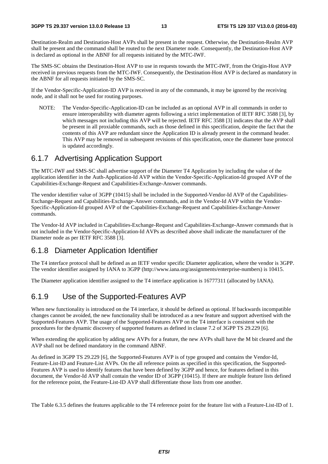Destination-Realm and Destination-Host AVPs shall be present in the request. Otherwise, the Destination-Realm AVP shall be present and the command shall be routed to the next Diameter node. Consequently, the Destination-Host AVP is declared as optional in the ABNF for all requests initiated by the MTC-IWF.

The SMS-SC obtains the Destination-Host AVP to use in requests towards the MTC-IWF, from the Origin-Host AVP received in previous requests from the MTC-IWF. Consequently, the Destination-Host AVP is declared as mandatory in the ABNF for all requests initiated by the SMS-SC.

If the Vendor-Specific-Application-ID AVP is received in any of the commands, it may be ignored by the receiving node, and it shall not be used for routing purposes.

NOTE: The Vendor-Specific-Application-ID can be included as an optional AVP in all commands in order to ensure interoperability with diameter agents following a strict implementation of IETF RFC 3588 [3], by which messages not including this AVP will be rejected. IETF RFC 3588 [3] indicates that the AVP shall be present in all proxiable commands, such as those defined in this specification, despite the fact that the contents of this AVP are redundant since the Application ID is already present in the command header. This AVP may be removed in subsequent revisions of this specification, once the diameter base protocol is updated accordingly.

#### 6.1.7 Advertising Application Support

The MTC-IWF and SMS-SC shall advertise support of the Diameter T4 Application by including the value of the application identifier in the Auth-Application-Id AVP within the Vendor-Specific-Application-Id grouped AVP of the Capabilities-Exchange-Request and Capabilities-Exchange-Answer commands.

The vendor identifier value of 3GPP (10415) shall be included in the Supported-Vendor-Id AVP of the Capabilities-Exchange-Request and Capabilities-Exchange-Answer commands, and in the Vendor-Id AVP within the Vendor-Specific-Application-Id grouped AVP of the Capabilities-Exchange-Request and Capabilities-Exchange-Answer commands.

The Vendor-Id AVP included in Capabilities-Exchange-Request and Capabilities-Exchange-Answer commands that is not included in the Vendor-Specific-Application-Id AVPs as described above shall indicate the manufacturer of the Diameter node as per IETF RFC 3588 [3].

#### 6.1.8 Diameter Application Identifier

The T4 interface protocol shall be defined as an IETF vendor specific Diameter application, where the vendor is 3GPP. The vendor identifier assigned by IANA to 3GPP (http://www.iana.org/assignments/enterprise-numbers) is 10415.

The Diameter application identifier assigned to the T4 interface application is 16777311 (allocated by IANA).

#### 6.1.9 Use of the Supported-Features AVP

When new functionality is introduced on the T4 interface, it should be defined as optional. If backwards incompatible changes cannot be avoided, the new functionality shall be introduced as a new feature and support advertised with the Supported-Features AVP. The usage of the Supported-Features AVP on the T4 interface is consistent with the procedures for the dynamic discovery of supported features as defined in clause 7.2 of 3GPP TS 29.229 [6].

When extending the application by adding new AVPs for a feature, the new AVPs shall have the M bit cleared and the AVP shall not be defined mandatory in the command ABNF.

As defined in 3GPP TS 29.229 [6], the Supported-Features AVP is of type grouped and contains the Vendor-Id, Feature-List-ID and Feature-List AVPs. On the all reference points as specified in this specification, the Supported-Features AVP is used to identify features that have been defined by 3GPP and hence, for features defined in this document, the Vendor-Id AVP shall contain the vendor ID of 3GPP (10415). If there are multiple feature lists defined for the reference point, the Feature-List-ID AVP shall differentiate those lists from one another.

The Table 6.3.5 defines the features applicable to the T4 reference point for the feature list with a Feature-List-ID of 1.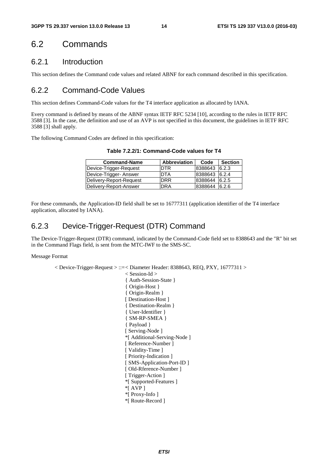### 6.2 Commands

#### 6.2.1 Introduction

This section defines the Command code values and related ABNF for each command described in this specification.

#### 6.2.2 Command-Code Values

This section defines Command-Code values for the T4 interface application as allocated by IANA.

Every command is defined by means of the ABNF syntax IETF RFC 5234 [10], according to the rules in IETF RFC 3588 [3]. In the case, the definition and use of an AVP is not specified in this document, the guidelines in IETF RFC 3588 [3] shall apply.

The following Command Codes are defined in this specification:

| Table 7.2.2/1: Command-Code values for T4 |                       |  |  |  |
|-------------------------------------------|-----------------------|--|--|--|
| Command-Name                              | Abbreviation Code Sec |  |  |  |

| <b>Command-Name</b>     | <b>Abbreviation</b> | Code          | <b>Section</b> |
|-------------------------|---------------------|---------------|----------------|
| Device-Trigger-Request  | <b>DTR</b>          | 8388643       | 6.2.3          |
| Device-Trigger- Answer  | <b>DTA</b>          | 8388643 6.2.4 |                |
| Delivery-Report-Request | <b>DRR</b>          | 8388644       | 6.2.5          |
| Delivery-Report-Answer  | <b>DRA</b>          | 8388644       | 6.2.6          |

For these commands, the Application-ID field shall be set to 16777311 (application identifier of the T4 interface application, allocated by IANA).

#### 6.2.3 Device-Trigger-Request (DTR) Command

The Device-Trigger-Request (DTR) command, indicated by the Command-Code field set to 8388643 and the "R" bit set in the Command Flags field, is sent from the MTC-IWF to the SMS-SC.

Message Format

 $\langle$  Device-Trigger-Request  $\rangle$  ::= $\langle$  Diameter Header: 8388643, REQ, PXY, 16777311 $\rangle$ 

< Session-Id > { Auth-Session-State } { Origin-Host } { Origin-Realm } [ Destination-Host ] { Destination-Realm } { User-Identifier } { SM-RP-SMEA } { Payload } [ Serving-Node ] \*[ Additional-Serving-Node ] [ Reference-Number ] [ Validity-Time ] [ Priority-Indication ] [ SMS-Application-Port-ID ] [ Old-Rference-Number ] [ Trigger-Action ] \*[ Supported-Features ] \*[ AVP ] \*[ Proxy-Info ] \*[ Route-Record ]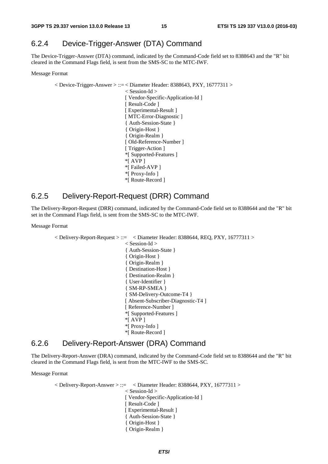### 6.2.4 Device-Trigger-Answer (DTA) Command

The Device-Trigger-Answer (DTA) command, indicated by the Command-Code field set to 8388643 and the "R" bit cleared in the Command Flags field, is sent from the SMS-SC to the MTC-IWF.

Message Format

 $\langle$  Device-Trigger-Answer  $> ::=$   $\langle$  Diameter Header: 8388643, PXY, 16777311  $>$ < Session-Id > [ Vendor-Specific-Application-Id ] [ Result-Code ] [ Experimental-Result ] [ MTC-Error-Diagnostic ] { Auth-Session-State } { Origin-Host } { Origin-Realm } [ Old-Reference-Number ] [ Trigger-Action ] \*[ Supported-Features ] \*[ AVP ] \*[ Failed-AVP ] \*[ Proxy-Info ] \*[ Route-Record ]

#### 6.2.5 Delivery-Report-Request (DRR) Command

The Delivery-Report-Request (DRR) command, indicated by the Command-Code field set to 8388644 and the "R" bit set in the Command Flags field, is sent from the SMS-SC to the MTC-IWF.

#### Message Format

 $\langle$  Delivery-Report-Request  $\rangle$  ::=  $\langle$  Diameter Header: 8388644, REQ, PXY, 16777311  $\rangle$ < Session-Id > { Auth-Session-State } { Origin-Host } { Origin-Realm } { Destination-Host } { Destination-Realm } { User-Identifier } { SM-RP-SMEA } { SM-Delivery-Outcome-T4 } [ Absent-Subscriber-Diagnostic-T4 ] [ Reference-Number ] \*[ Supported-Features ] \*[ AVP ] \*[ Proxy-Info ] \*[ Route-Record ]

#### 6.2.6 Delivery-Report-Answer (DRA) Command

The Delivery-Report-Answer (DRA) command, indicated by the Command-Code field set to 8388644 and the "R" bit cleared in the Command Flags field, is sent from the MTC-IWF to the SMS-SC.

#### Message Format

 $\langle$  Delivery-Report-Answer  $> ::= \langle$  Diameter Header: 8388644, PXY, 16777311  $>$ < Session-Id > [ Vendor-Specific-Application-Id ] [ Result-Code ] [ Experimental-Result ] { Auth-Session-State } { Origin-Host } { Origin-Realm }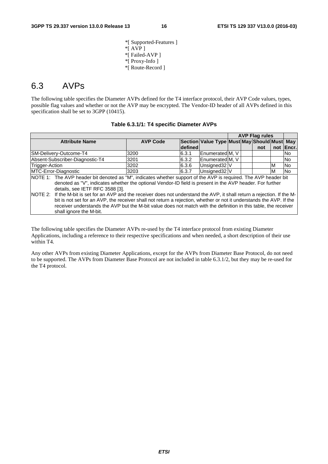shall ignore the M-bit.

\*[ Supported-Features ] \*[ AVP ] \*[ Failed-AVP ] \*[ Proxy-Info ] \*[ Route-Record ]

### 6.3 AVPs

The following table specifies the Diameter AVPs defined for the T4 interface protocol, their AVP Code values, types, possible flag values and whether or not the AVP may be encrypted. The Vendor-ID header of all AVPs defined in this specification shall be set to 3GPP (10415).

| Table 6.3.1/1: T4 specific Diameter AVPs |
|------------------------------------------|
|------------------------------------------|

|                                                                                                                             |                 |         |                                             |  | <b>AVP Flag rules</b> |     |                |
|-----------------------------------------------------------------------------------------------------------------------------|-----------------|---------|---------------------------------------------|--|-----------------------|-----|----------------|
| <b>Attribute Name</b>                                                                                                       | <b>AVP Code</b> |         | Section Value Type Must May Should Must May |  |                       |     |                |
|                                                                                                                             |                 | defined |                                             |  | not                   | not | <b>IEncr.</b>  |
| SM-Delivery-Outcome-T4                                                                                                      | 3200            | 6.3.1   | Enumerated M, V                             |  |                       |     | lNo.           |
| Absent-Subscriber-Diagnostic-T4                                                                                             | 3201            | 6.3.2   | <b>IEnumeratedIM.</b> V                     |  |                       |     | No.            |
| Trigger-Action                                                                                                              | 3202            | 6.3.6   | Unsigned 32 V                               |  |                       | ıм  | <b>No</b>      |
| MTC-Error-Diagnostic                                                                                                        | 3203            | 6.3.7   | Unsigned 32 V                               |  |                       | ıм  | N <sub>o</sub> |
| NOTE 1: The AVP header bit denoted as "M", indicates whether support of the AVP is required. The AVP header bit             |                 |         |                                             |  |                       |     |                |
| denoted as "V", indicates whether the optional Vendor-ID field is present in the AVP header. For further                    |                 |         |                                             |  |                       |     |                |
| details, see IETF RFC 3588 [3].                                                                                             |                 |         |                                             |  |                       |     |                |
| NOTE 2: If the M-bit is set for an AVP and the receiver does not understand the AVP, it shall return a rejection. If the M- |                 |         |                                             |  |                       |     |                |
| bit is not set for an AVP, the receiver shall not return a rejection, whether or not it understands the AVP. If the         |                 |         |                                             |  |                       |     |                |
| receiver understands the AVP but the M-bit value does not match with the definition in this table, the receiver             |                 |         |                                             |  |                       |     |                |

The following table specifies the Diameter AVPs re-used by the T4 interface protocol from existing Diameter Applications, including a reference to their respective specifications and when needed, a short description of their use within T4.

Any other AVPs from existing Diameter Applications, except for the AVPs from Diameter Base Protocol, do not need to be supported. The AVPs from Diameter Base Protocol are not included in table 6.3.1/2, but they may be re-used for the T4 protocol.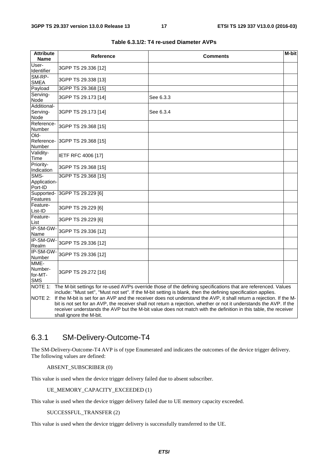| <b>Attribute</b><br><b>Name</b>                                                                                                                                                                                                                                                                                                                                                                                                                                                                                                                                                                                      | <b>Reference</b>    | <b>Comments</b> | M-bit |  |
|----------------------------------------------------------------------------------------------------------------------------------------------------------------------------------------------------------------------------------------------------------------------------------------------------------------------------------------------------------------------------------------------------------------------------------------------------------------------------------------------------------------------------------------------------------------------------------------------------------------------|---------------------|-----------------|-------|--|
| User-<br>Identifier                                                                                                                                                                                                                                                                                                                                                                                                                                                                                                                                                                                                  | 3GPP TS 29.336 [12] |                 |       |  |
| SM-RP-<br><b>SMEA</b>                                                                                                                                                                                                                                                                                                                                                                                                                                                                                                                                                                                                | 3GPP TS 29.338 [13] |                 |       |  |
| Payload                                                                                                                                                                                                                                                                                                                                                                                                                                                                                                                                                                                                              | 3GPP TS 29.368 [15] |                 |       |  |
| Serving-<br>Node                                                                                                                                                                                                                                                                                                                                                                                                                                                                                                                                                                                                     | 3GPP TS 29.173 [14] | See 6.3.3       |       |  |
| Additional-<br>Serving-<br>Node                                                                                                                                                                                                                                                                                                                                                                                                                                                                                                                                                                                      | 3GPP TS 29.173 [14] | See 6.3.4       |       |  |
| Reference-<br>Number                                                                                                                                                                                                                                                                                                                                                                                                                                                                                                                                                                                                 | 3GPP TS 29.368 [15] |                 |       |  |
| Old-<br>Reference-<br>Number                                                                                                                                                                                                                                                                                                                                                                                                                                                                                                                                                                                         | 3GPP TS 29.368 [15] |                 |       |  |
| Validity-<br>Time                                                                                                                                                                                                                                                                                                                                                                                                                                                                                                                                                                                                    | IETF RFC 4006 [17]  |                 |       |  |
| Priority-<br>Indication                                                                                                                                                                                                                                                                                                                                                                                                                                                                                                                                                                                              | 3GPP TS 29.368 [15] |                 |       |  |
| SMS-<br>Application-<br>Port-ID                                                                                                                                                                                                                                                                                                                                                                                                                                                                                                                                                                                      | 3GPP TS 29.368 [15] |                 |       |  |
| Supported-<br>Features                                                                                                                                                                                                                                                                                                                                                                                                                                                                                                                                                                                               | 3GPP TS 29.229 [6]  |                 |       |  |
| Feature-<br>List-ID                                                                                                                                                                                                                                                                                                                                                                                                                                                                                                                                                                                                  | 3GPP TS 29.229 [6]  |                 |       |  |
| Feature-<br>List                                                                                                                                                                                                                                                                                                                                                                                                                                                                                                                                                                                                     | 3GPP TS 29.229 [6]  |                 |       |  |
| IP-SM-GW-<br>Name                                                                                                                                                                                                                                                                                                                                                                                                                                                                                                                                                                                                    | 3GPP TS 29.336 [12] |                 |       |  |
| IP-SM-GW-<br>Realm                                                                                                                                                                                                                                                                                                                                                                                                                                                                                                                                                                                                   | 3GPP TS 29.336 [12] |                 |       |  |
| IP-SM-GW-<br>Number                                                                                                                                                                                                                                                                                                                                                                                                                                                                                                                                                                                                  | 3GPP TS 29.336 [12] |                 |       |  |
| MME-<br>Number-<br>for-MT-<br><b>SMS</b>                                                                                                                                                                                                                                                                                                                                                                                                                                                                                                                                                                             | 3GPP TS 29.272 [16] |                 |       |  |
| NOTE 1:<br>The M-bit settings for re-used AVPs override those of the defining specifications that are referenced. Values<br>include: "Must set", "Must not set". If the M-bit setting is blank, then the defining specification applies.<br>NOTE 2:<br>If the M-bit is set for an AVP and the receiver does not understand the AVP, it shall return a rejection. If the M-<br>bit is not set for an AVP, the receiver shall not return a rejection, whether or not it understands the AVP. If the<br>receiver understands the AVP but the M-bit value does not match with the definition in this table, the receiver |                     |                 |       |  |

|  | Table 6.3.1/2: T4 re-used Diameter AVPs |
|--|-----------------------------------------|
|--|-----------------------------------------|

### 6.3.1 SM-Delivery-Outcome-T4

The SM-Delivery-Outcome-T4 AVP is of type Enumerated and indicates the outcomes of the device trigger delivery. The following values are defined:

ABSENT\_SUBSCRIBER (0)

shall ignore the M-bit.

This value is used when the device trigger delivery failed due to absent subscriber.

UE\_MEMORY\_CAPACITY\_EXCEEDED (1)

This value is used when the device trigger delivery failed due to UE memory capacity exceeded.

#### SUCCESSFUL\_TRANSFER (2)

This value is used when the device trigger delivery is successfully transferred to the UE.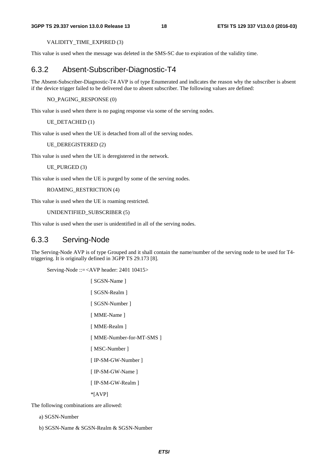VALIDITY\_TIME\_EXPIRED (3)

This value is used when the message was deleted in the SMS-SC due to expiration of the validity time.

#### 6.3.2 Absent-Subscriber-Diagnostic-T4

The Absent-Subscriber-Diagnostic-T4 AVP is of type Enumerated and indicates the reason why the subscriber is absent if the device trigger failed to be delivered due to absent subscriber. The following values are defined:

NO\_PAGING\_RESPONSE (0)

This value is used when there is no paging response via some of the serving nodes.

UE\_DETACHED (1)

This value is used when the UE is detached from all of the serving nodes.

UE\_DEREGISTERED (2)

This value is used when the UE is deregistered in the network.

UE\_PURGED (3)

This value is used when the UE is purged by some of the serving nodes.

ROAMING\_RESTRICTION (4)

This value is used when the UE is roaming restricted.

UNIDENTIFIED\_SUBSCRIBER (5)

This value is used when the user is unidentified in all of the serving nodes.

#### 6.3.3 Serving-Node

The Serving-Node AVP is of type Grouped and it shall contain the name/number of the serving node to be used for T4 triggering. It is originally defined in 3GPP TS 29.173 [8].

Serving-Node ::= <AVP header: 2401 10415>

[ SGSN-Name ]

[ SGSN-Realm ]

[ SGSN-Number ]

[ MME-Name ]

[ MME-Realm ]

[ MME-Number-for-MT-SMS ]

[ MSC-Number ]

[ IP-SM-GW-Number ]

[ IP-SM-GW-Name ]

[ IP-SM-GW-Realm ]

\*[AVP]

The following combinations are allowed:

a) SGSN-Number

b) SGSN-Name & SGSN-Realm & SGSN-Number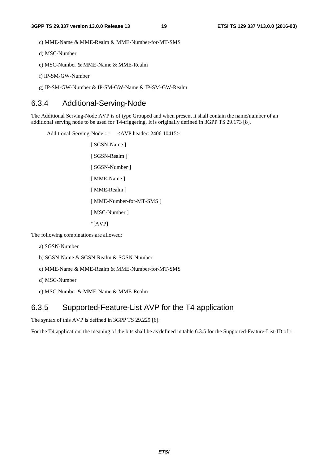c) MME-Name & MME-Realm & MME-Number-for-MT-SMS

d) MSC-Number

e) MSC-Number & MME-Name & MME-Realm

f) IP-SM-GW-Number

g) IP-SM-GW-Number & IP-SM-GW-Name & IP-SM-GW-Realm

#### 6.3.4 Additional-Serving-Node

The Additional Serving-Node AVP is of type Grouped and when present it shall contain the name/number of an additional serving node to be used for T4-triggering. It is originally defined in 3GPP TS 29.173 [8],

Additional-Serving-Node ::= <AVP header: 2406 10415> [ SGSN-Name ] [ SGSN-Realm ] [ SGSN-Number ] [ MME-Name ] [ MME-Realm ] [ MME-Number-for-MT-SMS ] [ MSC-Number ] \*[AVP]

The following combinations are allowed:

- a) SGSN-Number
- b) SGSN-Name & SGSN-Realm & SGSN-Number
- c) MME-Name & MME-Realm & MME-Number-for-MT-SMS

d) MSC-Number

e) MSC-Number & MME-Name & MME-Realm

#### 6.3.5 Supported-Feature-List AVP for the T4 application

The syntax of this AVP is defined in 3GPP TS 29.229 [6].

For the T4 application, the meaning of the bits shall be as defined in table 6.3.5 for the Supported-Feature-List-ID of 1.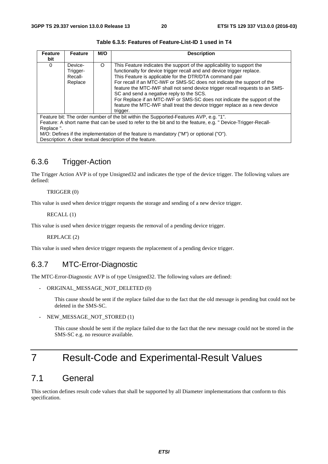| <b>Feature</b>                                                                                               | <b>Feature</b>                            | M/O      | <b>Description</b>                                                                                                                                                                                                                                                                                                                                                     |  |
|--------------------------------------------------------------------------------------------------------------|-------------------------------------------|----------|------------------------------------------------------------------------------------------------------------------------------------------------------------------------------------------------------------------------------------------------------------------------------------------------------------------------------------------------------------------------|--|
| bit                                                                                                          |                                           |          |                                                                                                                                                                                                                                                                                                                                                                        |  |
| $\Omega$                                                                                                     | Device-<br>Trigger-<br>Recall-<br>Replace | $\Omega$ | This Feature indicates the support of the applicability to support the<br>functionalty for device trigger recall and and device trigger replace.<br>This Feature is applicable for the DTR/DTA command pair<br>For recall if an MTC-IWF or SMS-SC does not indicate the support of the<br>feature the MTC-IWF shall not send device trigger recall requests to an SMS- |  |
|                                                                                                              |                                           |          | SC and send a negative reply to the SCS.<br>For Replace if an MTC-IWF or SMS-SC does not indicate the support of the<br>feature the MTC-IWF shall treat the device trigger replace as a new device<br>trigger.                                                                                                                                                         |  |
| Feature bit: The order number of the bit within the Supported-Features AVP, e.g. "1".                        |                                           |          |                                                                                                                                                                                                                                                                                                                                                                        |  |
| Feature: A short name that can be used to refer to the bit and to the feature, e.g. " Device-Trigger-Recall- |                                           |          |                                                                                                                                                                                                                                                                                                                                                                        |  |
| Replace ".                                                                                                   |                                           |          |                                                                                                                                                                                                                                                                                                                                                                        |  |
| $M/\Omega$ : Defines if the implementation of the feature is mandatory ("M") or optional (" $\Omega$ ")      |                                           |          |                                                                                                                                                                                                                                                                                                                                                                        |  |

**Table 6.3.5: Features of Feature-List-ID 1 used in T4** 

s if the implementation of the feature is mandatory ("M") or optional ("O"). Description: A clear textual description of the feature.

#### 6.3.6 Trigger-Action

The Trigger Action AVP is of type Unsigned32 and indicates the type of the device trigger. The following values are defined:

#### TRIGGER (0)

This value is used when device trigger requests the storage and sending of a new device trigger.

#### RECALL (1)

This value is used when device trigger requests the removal of a pending device trigger.

REPLACE (2)

This value is used when device trigger requests the replacement of a pending device trigger.

#### 6.3.7 MTC-Error-Diagnostic

The MTC-Error-Diagnostic AVP is of type Unsigned32. The following values are defined:

```
- ORIGINAL_MESSAGE_NOT_DELETED (0)
```
This cause should be sent if the replace failed due to the fact that the old message is pending but could not be deleted in the SMS-SC.

- NEW MESSAGE NOT STORED (1)

This cause should be sent if the replace failed due to the fact that the new message could not be stored in the SMS-SC e.g. no resource available.

## 7 Result-Code and Experimental-Result Values

### 7.1 General

This section defines result code values that shall be supported by all Diameter implementations that conform to this specification.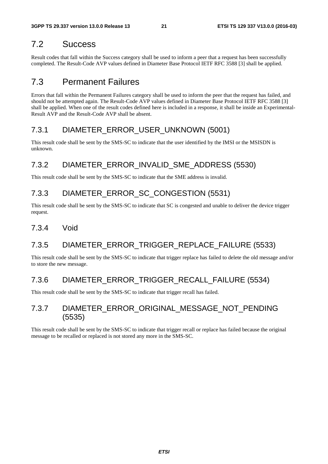### 7.2 Success

Result codes that fall within the Success category shall be used to inform a peer that a request has been successfully completed. The Result-Code AVP values defined in Diameter Base Protocol IETF RFC 3588 [3] shall be applied.

### 7.3 Permanent Failures

Errors that fall within the Permanent Failures category shall be used to inform the peer that the request has failed, and should not be attempted again. The Result-Code AVP values defined in Diameter Base Protocol IETF RFC 3588 [3] shall be applied. When one of the result codes defined here is included in a response, it shall be inside an Experimental-Result AVP and the Result-Code AVP shall be absent.

### 7.3.1 DIAMETER\_ERROR\_USER\_UNKNOWN (5001)

This result code shall be sent by the SMS-SC to indicate that the user identified by the IMSI or the MSISDN is unknown.

### 7.3.2 DIAMETER\_ERROR\_INVALID\_SME\_ADDRESS (5530)

This result code shall be sent by the SMS-SC to indicate that the SME address is invalid.

### 7.3.3 DIAMETER\_ERROR\_SC\_CONGESTION (5531)

This result code shall be sent by the SMS-SC to indicate that SC is congested and unable to deliver the device trigger request.

#### 7.3.4 Void

## 7.3.5 DIAMETER\_ERROR\_TRIGGER\_REPLACE\_FAILURE (5533)

This result code shall be sent by the SMS-SC to indicate that trigger replace has failed to delete the old message and/or to store the new message.

### 7.3.6 DIAMETER\_ERROR\_TRIGGER\_RECALL\_FAILURE (5534)

This result code shall be sent by the SMS-SC to indicate that trigger recall has failed.

#### 7.3.7 DIAMETER\_ERROR\_ORIGINAL\_MESSAGE\_NOT\_PENDING (5535)

This result code shall be sent by the SMS-SC to indicate that trigger recall or replace has failed because the original message to be recalled or replaced is not stored any more in the SMS-SC.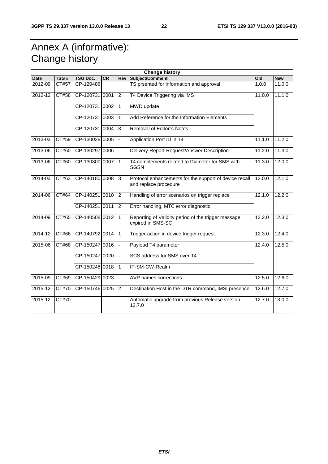## Annex A (informative): Change history

| <b>Change history</b> |              |                 |    |                |                                                                                 |        |                     |
|-----------------------|--------------|-----------------|----|----------------|---------------------------------------------------------------------------------|--------|---------------------|
| <b>Date</b>           | TSG#         | <b>TSG Doc.</b> | CR | Rev            | Subject/Comment                                                                 | Old    | <b>New</b>          |
| 2012-09               | CT#57        | CP-120486       |    |                | TS prsented for information and approval                                        | 1.0.0  | 11.0.0              |
| 2012-12               | CT#58        | CP-120731 0001  |    | $\overline{2}$ | T4 Device Triggering via IMS                                                    | 11.0.0 | 11.1.0              |
|                       |              | CP-120731 0002  |    | 1              | MWD update                                                                      |        |                     |
|                       |              | CP-120731 0003  |    | 1              | Add Reference for the Information Elements                                      |        |                     |
|                       |              | CP-120731 0004  |    | 3              | <b>Removal of Editor"s Notes</b>                                                |        |                     |
| 2013-03               | CT#59        | CP-130028 0005  |    |                | Application Port ID in T4                                                       | 11.1.0 | 11.2.0              |
| 2013-06               | CT#60        | CP-130297 0006  |    |                | Delivery-Report-Request/Answer Description                                      | 11.2.0 | 11.3.0              |
| 2013-06               | CT#60        | CP-130300 0007  |    | $\mathbf{1}$   | T4 complements related to Diameter for SMS with<br><b>SGSN</b>                  | 11.3.0 | 12.0.0              |
| 2014-03               | CT#63        | CP-140180 0008  |    | 3              | Protocol enhancements for the support of device recall<br>and replace procedure | 12.0.0 | 12.1.0              |
| 2014-06               | CT#64        | CP-140251 0010  |    | $\overline{2}$ | Handling of error scenarios on trigger replace                                  | 12.1.0 | 12.2.0              |
|                       |              | CP-140251 0011  |    | $\overline{2}$ | Error handling, MTC error diagnostic                                            |        |                     |
| $2014 - 09$           | CT#65        | CP-140508 0012  |    | 1              | Reporting of Validity period of the trigger message<br>expired in SMS-SC        | 12.2.0 | 12.3.0              |
| 2014-12               | CT#66        | CP-140792 0014  |    | $\mathbf{1}$   | Trigger action in device trigger request                                        | 12.3.0 | $\overline{12.4.0}$ |
| 2015-06               | CT#68        | CP-150247 0016  |    |                | Payload T4 parameter                                                            | 12.4.0 | 12.5.0              |
|                       |              | CP-150247 0020  |    |                | SCS address for SMS over T4                                                     |        |                     |
|                       |              | CP-150248 0018  |    | $\mathbf{1}$   | IP-SM-GW-Realm                                                                  |        |                     |
| 2015-09               | CT#69        | CP-150429 0023  |    |                | AVP names corrections                                                           | 12.5.0 | 12.6.0              |
| $2015 - 12$           | <b>CT#70</b> | CP-150746 0025  |    | $\overline{2}$ | Destination Host in the DTR command, IMSI presence                              | 12.6.0 | 12.7.0              |
| 2015-12               | CT#70        |                 |    |                | Automatic upgrade from previous Release version<br>12.7.0                       | 12.7.0 | 13.0.0              |